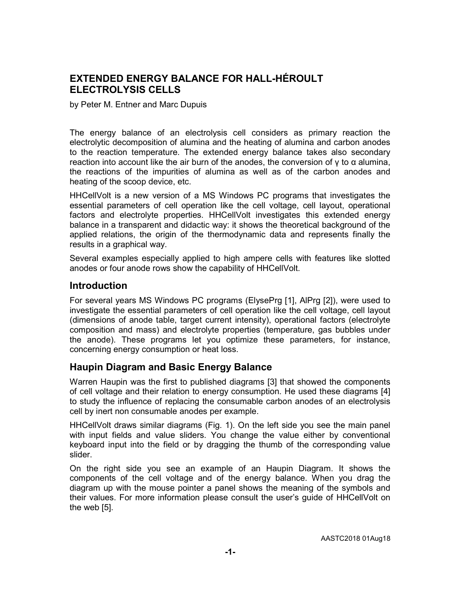## EXTENDED ENERGY BALANCE FOR HALL-HÉROULT ELECTROLYSIS CELLS

by Peter M. Entner and Marc Dupuis

The energy balance of an electrolysis cell considers as primary reaction the electrolytic decomposition of alumina and the heating of alumina and carbon anodes to the reaction temperature. The extended energy balance takes also secondary reaction into account like the air burn of the anodes, the conversion of γ to α alumina, the reactions of the impurities of alumina as well as of the carbon anodes and heating of the scoop device, etc.

HHCellVolt is a new version of a MS Windows PC programs that investigates the essential parameters of cell operation like the cell voltage, cell layout, operational factors and electrolyte properties. HHCellVolt investigates this extended energy balance in a transparent and didactic way: it shows the theoretical background of the applied relations, the origin of the thermodynamic data and represents finally the results in a graphical way.

Several examples especially applied to high ampere cells with features like slotted anodes or four anode rows show the capability of HHCellVolt.

### **Introduction**

For several years MS Windows PC programs (ElysePrg [1], AlPrg [2]), were used to investigate the essential parameters of cell operation like the cell voltage, cell layout (dimensions of anode table, target current intensity), operational factors (electrolyte composition and mass) and electrolyte properties (temperature, gas bubbles under the anode). These programs let you optimize these parameters, for instance, concerning energy consumption or heat loss.

### Haupin Diagram and Basic Energy Balance

Warren Haupin was the first to published diagrams [3] that showed the components of cell voltage and their relation to energy consumption. He used these diagrams [4] to study the influence of replacing the consumable carbon anodes of an electrolysis cell by inert non consumable anodes per example.

HHCellVolt draws similar diagrams (Fig. 1). On the left side you see the main panel with input fields and value sliders. You change the value either by conventional keyboard input into the field or by dragging the thumb of the corresponding value slider.

On the right side you see an example of an Haupin Diagram. It shows the components of the cell voltage and of the energy balance. When you drag the diagram up with the mouse pointer a panel shows the meaning of the symbols and their values. For more information please consult the user's guide of HHCellVolt on the web [5].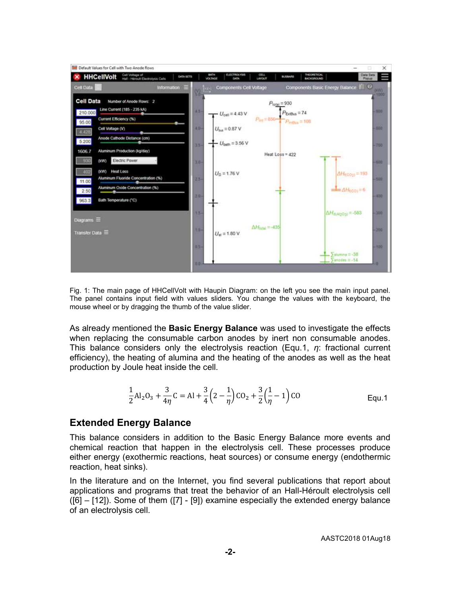

Fig. 1: The main page of HHCellVolt with Haupin Diagram: on the left you see the main input panel. The panel contains input field with values sliders. You change the values with the keyboard, the mouse wheel or by dragging the thumb of the value slider.

As already mentioned the **Basic Energy Balance** was used to investigate the effects when replacing the consumable carbon anodes by inert non consumable anodes. This balance considers only the electrolysis reaction (Equ.1,  $\eta$ : fractional current efficiency), the heating of alumina and the heating of the anodes as well as the heat production by Joule heat inside the cell.

$$
\frac{1}{2}Al_2O_3 + \frac{3}{4\eta}C = Al + \frac{3}{4}\left(2 - \frac{1}{\eta}\right)CO_2 + \frac{3}{2}\left(\frac{1}{\eta} - 1\right)CO
$$
 Equ.1

### Extended Energy Balance

This balance considers in addition to the Basic Energy Balance more events and chemical reaction that happen in the electrolysis cell. These processes produce either energy (exothermic reactions, heat sources) or consume energy (endothermic reaction, heat sinks).

In the literature and on the Internet, you find several publications that report about applications and programs that treat the behavior of an Hall-Héroult electrolysis cell ([6] – [12]). Some of them ([7] - [9]) examine especially the extended energy balance of an electrolysis cell.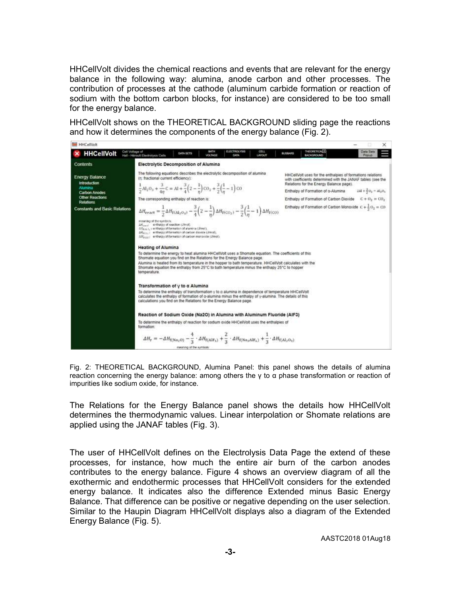HHCellVolt divides the chemical reactions and events that are relevant for the energy balance in the following way: alumina, anode carbon and other processes. The contribution of processes at the cathode (aluminum carbide formation or reaction of sodium with the bottom carbon blocks, for instance) are considered to be too small for the energy balance.

HHCellVolt shows on the THEORETICAL BACKGROUND sliding page the reactions and how it determines the components of the energy balance (Fig. 2).



Fig. 2: THEORETICAL BACKGROUND, Alumina Panel: this panel shows the details of alumina reaction concerning the energy balance: among others the γ to α phase transformation or reaction of impurities like sodium oxide, for instance.

The Relations for the Energy Balance panel shows the details how HHCellVolt determines the thermodynamic values. Linear interpolation or Shomate relations are applied using the JANAF tables (Fig. 3).

The user of HHCellVolt defines on the Electrolysis Data Page the extend of these processes, for instance, how much the entire air burn of the carbon anodes contributes to the energy balance. Figure 4 shows an overview diagram of all the exothermic and endothermic processes that HHCellVolt considers for the extended energy balance. It indicates also the difference Extended minus Basic Energy Balance. That difference can be positive or negative depending on the user selection. Similar to the Haupin Diagram HHCellVolt displays also a diagram of the Extended Energy Balance (Fig. 5).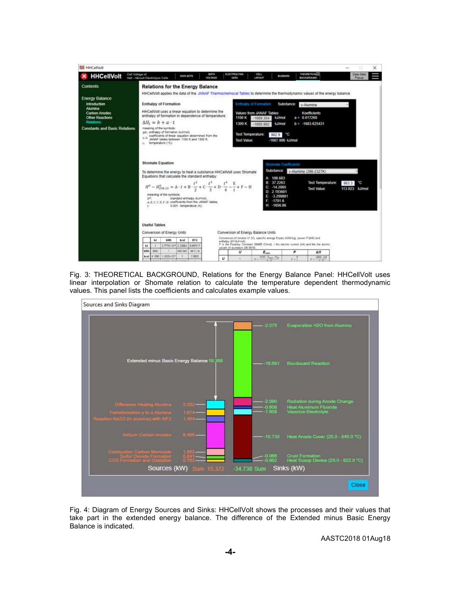| <b>HHCellVolt</b>                                                                                                     |                                                                                                                                                                                                                                                                                                                                                                                                                                                                     | ×                                                                                                                                                                                                                                                     |  |
|-----------------------------------------------------------------------------------------------------------------------|---------------------------------------------------------------------------------------------------------------------------------------------------------------------------------------------------------------------------------------------------------------------------------------------------------------------------------------------------------------------------------------------------------------------------------------------------------------------|-------------------------------------------------------------------------------------------------------------------------------------------------------------------------------------------------------------------------------------------------------|--|
| Cell Voltage of<br><b>HHCellVolt</b>                                                                                  | <b>BATH</b><br>DATA SETS<br>Hall - Heroutt Electrolysis Cells<br><b>VOLTAGE</b>                                                                                                                                                                                                                                                                                                                                                                                     | <b>THEORETICALE</b><br><b>ELECTROLYSIS</b><br>CELL<br><b>Data Sets</b><br><b>BUSSARD</b><br><b>LAYCATT</b><br>BACKGROUND<br>Popus<br>DATA                                                                                                             |  |
| <b>Contents</b><br><b>Energy Balance</b><br><b>Introduction</b>                                                       | <b>Relations for the Energy Balance</b><br>HHCellVolt applies the data of the JANAF Thermochemocal Tables to determine the thermodynamic values of the energy balance.<br>Enthalpy of Formation<br>Enthalpy of Formation<br>Substance<br>y-Alumina                                                                                                                                                                                                                  |                                                                                                                                                                                                                                                       |  |
| Alumina<br><b>Carbon Anodes</b><br><b>Other Reactions</b><br><b>Relations</b><br><b>Constants and Basic Relations</b> | HHCellVolt uses a linear equation to determine the<br>enthalpy of formation in dependence of temperature:<br>$\Delta H_i = b + a \cdot t$<br>meaning of the symbols:<br>AR.: enthalpy of formation (kJimoi).<br>coefficients of linear equation determined from the<br>a, b<br>JANAF tables between 1100 K and 1300 K.<br>temperature (°C)<br>EL.                                                                                                                   | Values from JANAF Tables<br><b>Koefficients</b><br>k.1/mol<br>$a = 0.017260$<br>1100 K<br>$-1669.354$<br>$b = -1683.625431$<br>1300 K<br>k.I/mol<br>$-1665.902$<br>Test Temperature:<br>°C.<br>9629<br>Test Value:<br>-1667.006 k.l/mol               |  |
|                                                                                                                       | Shomate Equation<br>To determine the energy to heat a substance HHCellVolt uses Shomate<br>Equations that calculate the standard enthalow.<br>$H^0 - H_{200.15}^0 = A \cdot t + B \cdot \frac{t^2}{2} + C \cdot \frac{t^3}{2} + D \cdot \frac{t^4}{4} - \frac{E}{t} + F - H$<br>meaning of the symbols.<br>$M^{K}$ .<br>standard enthalpy (kJimol).<br>A. B. C. C. E. F. N. coefficients from the JANAF tables.<br>0.001 - temperature (IC).<br><b>W</b> START OF P | Shomate Coefficients<br>Substance:<br>v-Alumina (298-2327K)<br>A: 108.683<br>B: 37, 2263<br><b>Test Temperature:</b><br>۴C<br>963.3<br>$C = 14.2065$<br>113.023 kJ/mol<br>Test Value:<br>D: 2.193601<br>$-3.209881$<br>$-1701.6$<br>F<br>H: - 1656.86 |  |
|                                                                                                                       | <b>Useful Tables</b><br>Conversion of Energy Units<br>Conversion of Energy Balance Units                                                                                                                                                                                                                                                                                                                                                                            |                                                                                                                                                                                                                                                       |  |
|                                                                                                                       | kt/Aft.<br><b>HTU</b><br>53<br>kcal<br>3,7778+10438 23884<br>k)<br>3947317                                                                                                                                                                                                                                                                                                                                                                                          | Conversion of tension U IV), specific energy Espac (WM/kd), power P (VW) and<br>anthalov AH (kJ/msh)<br>F is the Faraday Colestant (96485 Climol). I the electric current (kA) and Mx the atomic<br>weight of aluminum (26.9915).                     |  |
|                                                                                                                       | <b>MAY</b><br>9800<br>H63.825<br>5412.14<br>1.35354355<br>2,9603<br>4.1093<br>kcal<br>$\boldsymbol{u}$                                                                                                                                                                                                                                                                                                                                                              | u<br>p<br>$E_{\rm{rms}}$<br>ΔН<br>$1000 - E_{\text{max}}$ (Ma)<br>1000 - 2.9<br>百亩<br>$E =$<br>ET ALL                                                                                                                                                 |  |

Fig. 3: THEORETICAL BACKGROUND, Relations for the Energy Balance Panel: HHCellVolt uses linear interpolation or Shomate relation to calculate the temperature dependent thermodynamic values. This panel lists the coefficients and calculates example values.



Fig. 4: Diagram of Energy Sources and Sinks: HHCellVolt shows the processes and their values that take part in the extended energy balance. The difference of the Extended minus Basic Energy Balance is indicated.

AASTC2018 01Aug18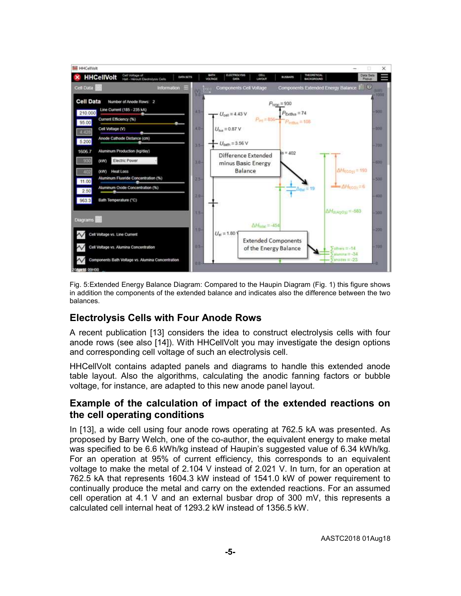

Fig. 5:Extended Energy Balance Diagram: Compared to the Haupin Diagram (Fig. 1) this figure shows in addition the components of the extended balance and indicates also the difference between the two balances.

# Electrolysis Cells with Four Anode Rows

A recent publication [13] considers the idea to construct electrolysis cells with four anode rows (see also [14]). With HHCellVolt you may investigate the design options and corresponding cell voltage of such an electrolysis cell.

HHCellVolt contains adapted panels and diagrams to handle this extended anode table layout. Also the algorithms, calculating the anodic fanning factors or bubble voltage, for instance, are adapted to this new anode panel layout.

### Example of the calculation of impact of the extended reactions on the cell operating conditions

In [13], a wide cell using four anode rows operating at 762.5 kA was presented. As proposed by Barry Welch, one of the co-author, the equivalent energy to make metal was specified to be 6.6 kWh/kg instead of Haupin's suggested value of 6.34 kWh/kg. For an operation at 95% of current efficiency, this corresponds to an equivalent voltage to make the metal of 2.104 V instead of 2.021 V. In turn, for an operation at 762.5 kA that represents 1604.3 kW instead of 1541.0 kW of power requirement to continually produce the metal and carry on the extended reactions. For an assumed cell operation at 4.1 V and an external busbar drop of 300 mV, this represents a calculated cell internal heat of 1293.2 kW instead of 1356.5 kW.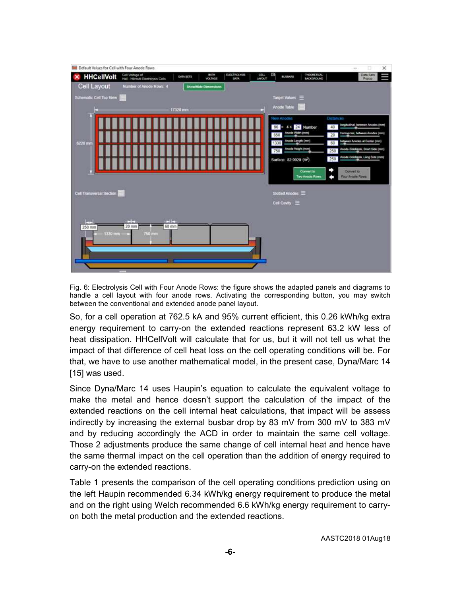

Fig. 6: Electrolysis Cell with Four Anode Rows: the figure shows the adapted panels and diagrams to handle a cell layout with four anode rows. Activating the corresponding button, you may switch between the conventional and extended anode panel layout.

So, for a cell operation at 762.5 kA and 95% current efficient, this 0.26 kWh/kg extra energy requirement to carry-on the extended reactions represent 63.2 kW less of heat dissipation. HHCellVolt will calculate that for us, but it will not tell us what the impact of that difference of cell heat loss on the cell operating conditions will be. For that, we have to use another mathematical model, in the present case, Dyna/Marc 14 [15] was used.

Since Dyna/Marc 14 uses Haupin's equation to calculate the equivalent voltage to make the metal and hence doesn't support the calculation of the impact of the extended reactions on the cell internal heat calculations, that impact will be assess indirectly by increasing the external busbar drop by 83 mV from 300 mV to 383 mV and by reducing accordingly the ACD in order to maintain the same cell voltage. Those 2 adjustments produce the same change of cell internal heat and hence have the same thermal impact on the cell operation than the addition of energy required to carry-on the extended reactions.

Table 1 presents the comparison of the cell operating conditions prediction using on the left Haupin recommended 6.34 kWh/kg energy requirement to produce the metal and on the right using Welch recommended 6.6 kWh/kg energy requirement to carryon both the metal production and the extended reactions.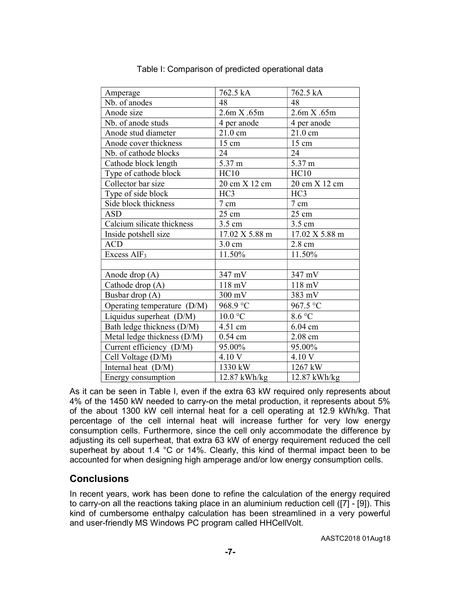| Amperage                    | 762.5 kA         | 762.5 kA          |
|-----------------------------|------------------|-------------------|
| Nb. of anodes               | 48               | 48                |
| Anode size                  | 2.6m X.65m       | 2.6m X.65m        |
| Nb. of anode studs          | 4 per anode      | 4 per anode       |
| Anode stud diameter         | 21.0 cm          | $21.0 \text{ cm}$ |
| Anode cover thickness       | 15 cm            | 15 cm             |
| Nb. of cathode blocks       | 24               | 24                |
| Cathode block length        | 5.37 m           | 5.37 m            |
| Type of cathode block       | HC10             | HC10              |
| Collector bar size          | 20 cm X 12 cm    | 20 cm X 12 cm     |
| Type of side block          | HC <sub>3</sub>  | HC <sub>3</sub>   |
| Side block thickness        | 7 cm             | 7 cm              |
| ASD                         | 25 cm            | 25 cm             |
| Calcium silicate thickness  | 3.5 cm           | 3.5 cm            |
| Inside potshell size        | 17.02 X 5.88 m   | 17.02 X 5.88 m    |
| <b>ACD</b>                  | $3.0 \text{ cm}$ | 2.8 cm            |
| Excess AlF <sub>3</sub>     | 11.50%           | 11.50%            |
|                             |                  |                   |
| Anode drop (A)              | 347 mV           | 347 mV            |
| Cathode drop (A)            | $118 \text{ mV}$ | $118$ mV          |
| Busbar drop (A)             | 300 mV           | 383 mV            |
| Operating temperature (D/M) | 968.9 °C         | 967.5 °C          |
| Liquidus superheat (D/M)    | $10.0$ °C        | 8.6 °C            |
| Bath ledge thickness (D/M)  | 4.51 cm          | 6.04 cm           |
| Metal ledge thickness (D/M) | $0.54$ cm        | $2.08$ cm         |
| Current efficiency (D/M)    | 95.00%           | 95.00%            |
| Cell Voltage (D/M)          | 4.10 V           | 4.10 V            |
| Internal heat (D/M)         | 1330 kW          | 1267 kW           |
| Energy consumption          | 12.87 kWh/kg     | 12.87 kWh/kg      |

Table I: Comparison of predicted operational data

As it can be seen in Table I, even if the extra 63 kW required only represents about 4% of the 1450 kW needed to carry-on the metal production, it represents about 5% of the about 1300 kW cell internal heat for a cell operating at 12.9 kWh/kg. That percentage of the cell internal heat will increase further for very low energy consumption cells. Furthermore, since the cell only accommodate the difference by adjusting its cell superheat, that extra 63 kW of energy requirement reduced the cell superheat by about 1.4 °C or 14%. Clearly, this kind of thermal impact been to be accounted for when designing high amperage and/or low energy consumption cells.

### **Conclusions**

In recent years, work has been done to refine the calculation of the energy required to carry-on all the reactions taking place in an aluminium reduction cell ([7] - [9]). This kind of cumbersome enthalpy calculation has been streamlined in a very powerful and user-friendly MS Windows PC program called HHCellVolt.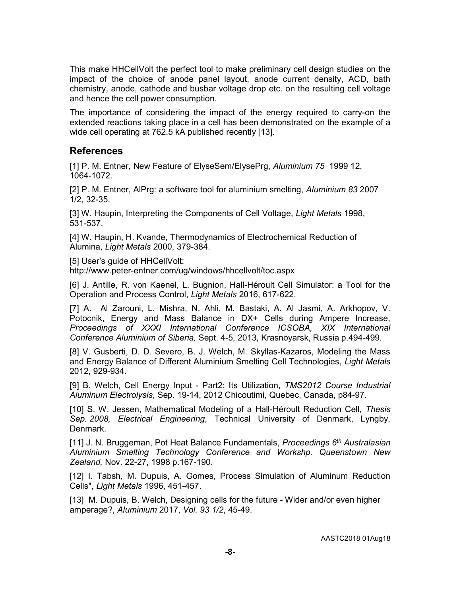This make HHCellVolt the perfect tool to make preliminary cell design studies on the impact of the choice of anode panel layout, anode current density, ACD, bath chemistry, anode, cathode and busbar voltage drop etc. on the resulting cell voltage and hence the cell power consumption.

The importance of considering the impact of the energy required to carry-on the extended reactions taking place in a cell has been demonstrated on the example of a wide cell operating at 762.5 kA published recently [13].

### References

[1] P. M. Entner, New Feature of ElyseSem/ElysePrg, Aluminium 75 1999 12, 1064-1072.

[2] P. M. Entner, AlPrg: a software tool for aluminium smelting, Aluminium 83 2007 1/2, 32-35.

[3] W. Haupin, Interpreting the Components of Cell Voltage, Light Metals 1998, 531-537.

[4] W. Haupin, H. Kvande, Thermodynamics of Electrochemical Reduction of Alumina, Light Metals 2000, 379-384.

[5] User's guide of HHCellVolt: http://www.peter-entner.com/ug/windows/hhcellvolt/toc.aspx

[6] J. Antille, R. von Kaenel, L. Bugnion, Hall-Héroult Cell Simulator: a Tool for the Operation and Process Control, Light Metals 2016, 617-622.

[7] A. Al Zarouni, L. Mishra, N. Ahli, M. Bastaki, A. Al Jasmi, A. Arkhopov, V. Potocnik, Energy and Mass Balance in DX+ Cells during Ampere Increase, Proceedings of XXXI International Conference ICSOBA, XIX International Conference Aluminium of Siberia, Sept. 4-5, 2013, Krasnoyarsk, Russia p.494-499.

[8] V. Gusberti, D. D. Severo, B. J. Welch, M. Skyllas-Kazaros, Modeling the Mass and Energy Balance of Different Aluminium Smelting Cell Technologies, Light Metals 2012, 929-934.

[9] B. Welch, Cell Energy Input - Part2: Its Utilization, TMS2012 Course Industrial Aluminum Electrolysis, Sep. 19-14, 2012 Chicoutimi, Quebec, Canada, p84-97.

[10] S. W. Jessen, Mathematical Modeling of a Hall-Héroult Reduction Cell, Thesis Sep. 2008, Electrical Engineering, Technical University of Denmark, Lyngby, Denmark.

[11] J. N. Bruggeman, Pot Heat Balance Fundamentals, Proceedings  $6<sup>th</sup>$  Australasian Aluminium Smelting Technology Conference and Workshp. Queenstown New Zealand, Nov. 22-27, 1998 p.167-190.

[12] I. Tabsh, M. Dupuis, A. Gomes, Process Simulation of Aluminum Reduction Cells", Light Metals 1996, 451-457.

[13] M. Dupuis, B. Welch, Designing cells for the future - Wider and/or even higher amperage?, Aluminium 2017, Vol. 93 1/2, 45-49.